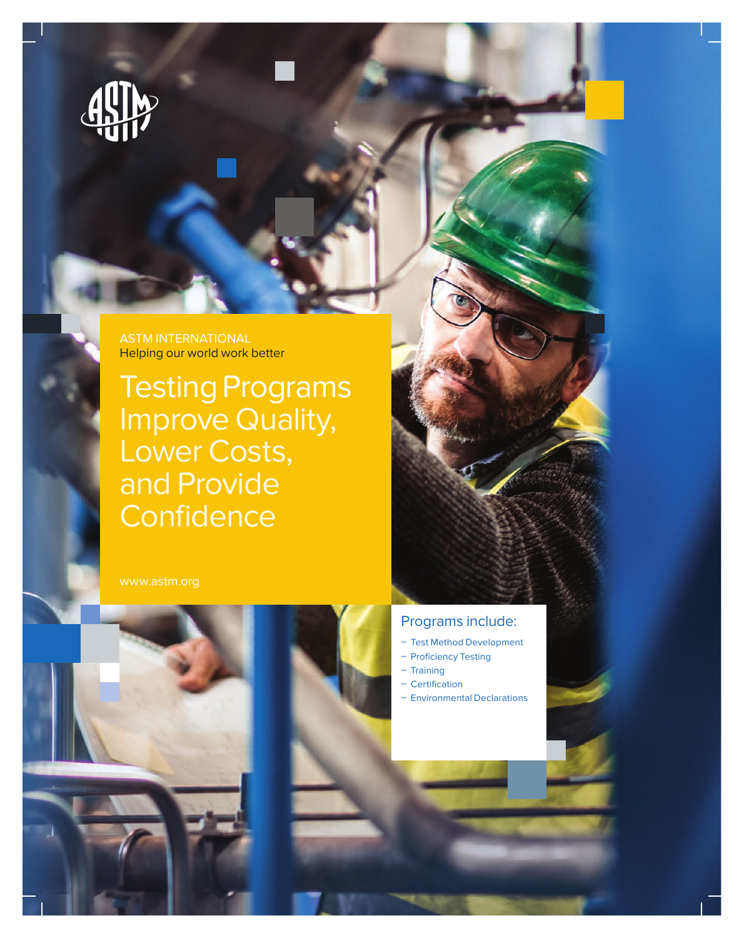

ASTM INTERNATIONAL Helping our world work better

Testing Programs Improve Quality, Lower Costs, and Provide **Confidence** 





## Programs include:

- Test Method Development
- Proficiency Testing
- $-$  Training
- Certification
- Environmental Declarations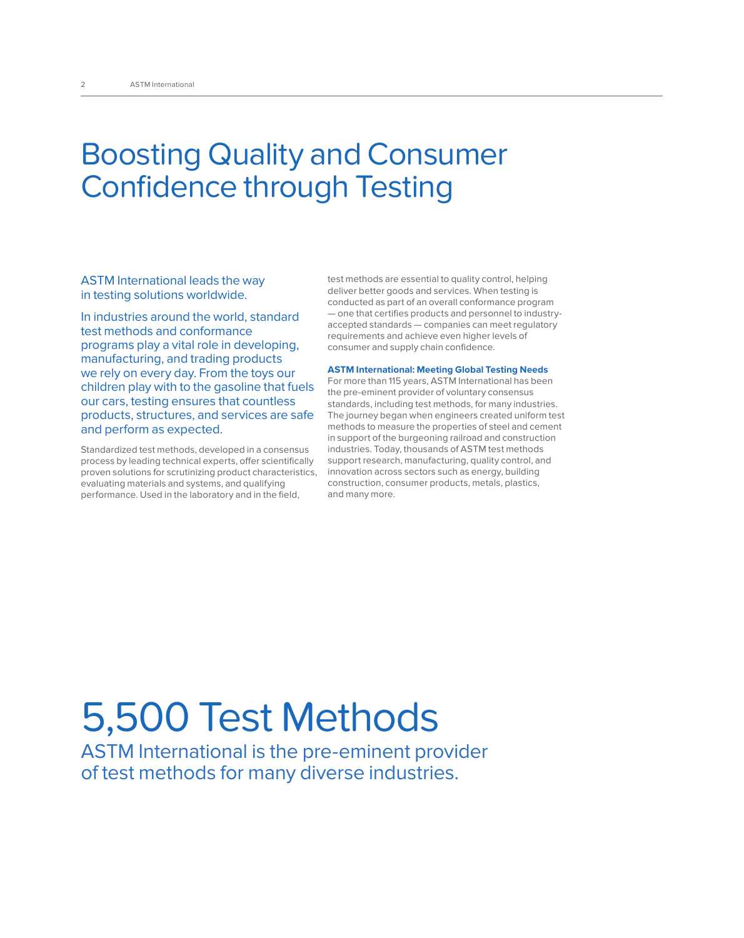# Boosting Quality and Consumer Confidence through Testing

ASTM International leads the way in testing solutions worldwide.

In industries around the world, standard test methods and conformance programs play a vital role in developing, manufacturing, and trading products we rely on every day. From the toys our children play with to the gasoline that fuels our cars, testing ensures that countless products, structures, and services are safe and perform as expected.

Standardized test methods, developed in a consensus process by leading technical experts, offer scientifically proven solutions for scrutinizing product characteristics, evaluating materials and systems, and qualifying performance. Used in the laboratory and in the field,

test methods are essential to quality control, helping deliver better goods and services. When testing is conducted as part of an overall conformance program — one that certifies products and personnel to industryaccepted standards — companies can meet regulatory requirements and achieve even higher levels of consumer and supply chain confidence.

#### **ASTM International: Meeting Global Testing Needs**

For more than 115 years, ASTM International has been the pre-eminent provider of voluntary consensus standards, including test methods, for many industries. The journey began when engineers created uniform test methods to measure the properties of steel and cement in support of the burgeoning railroad and construction industries. Today, thousands of ASTM test methods support research, manufacturing, quality control, and innovation across sectors such as energy, building construction, consumer products, metals, plastics, and many more.

# 5,500 Test Methods

ASTM International is the pre-eminent provider of test methods for many diverse industries.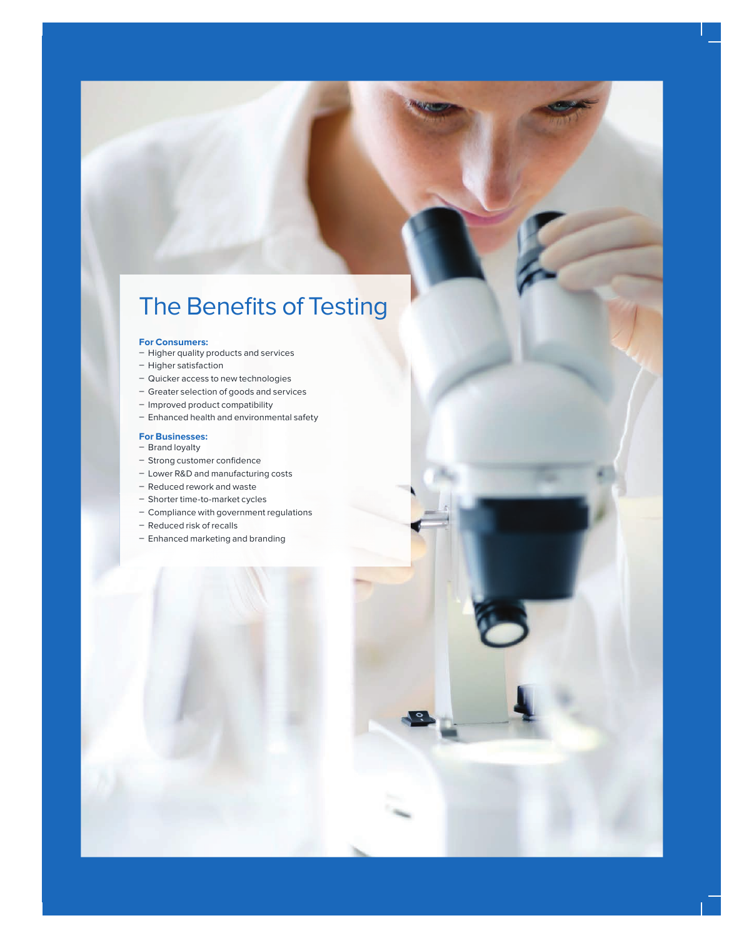# The Benefits of Testing

#### **For Consumers:**

- Higher quality products and services
- Higher satisfaction
- Quicker access to new technologies
- Greater selection of goods and services
- Improved product compatibility
- Enhanced health and environmental safety

#### **For Businesses:**

- Brand loyalty
- Strong customer confidence
- Lower R&D and manufacturing costs
- Reduced rework and waste
- Shorter time-to-market cycles
- Compliance with government regulations
- Reduced risk of recalls
- Enhanced marketing and branding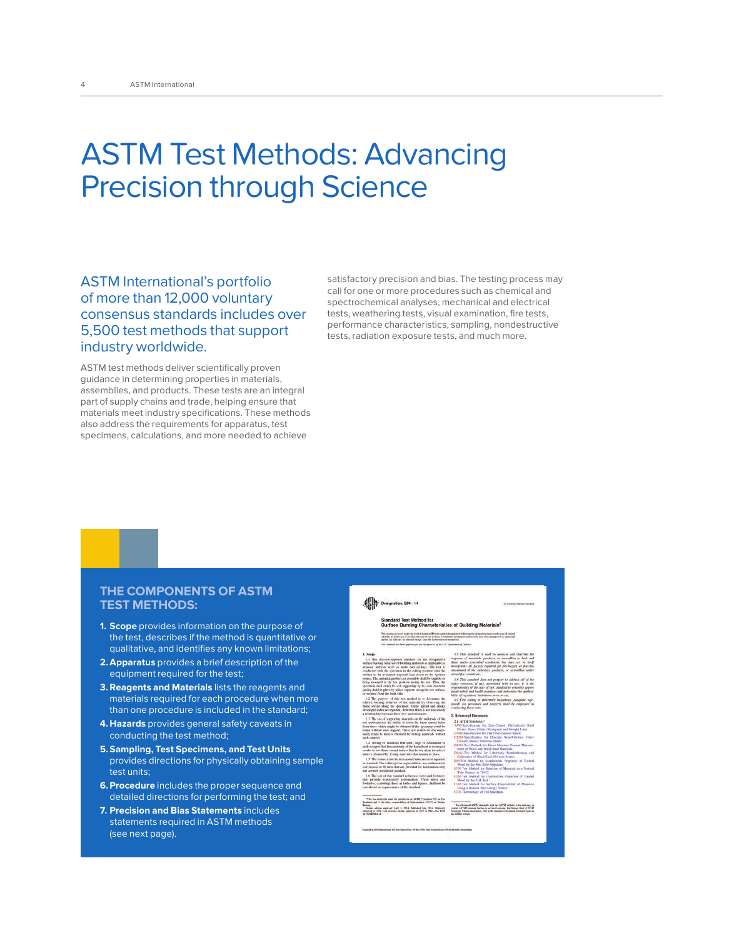# ASTM Test Methods: Advancing Precision through Science

ASTM International's portfolio of more than 12,000 voluntary consensus standards includes over 5,500 test methods that support industry worldwide.

ASTM test methods deliver scientifically proven guidance in determining properties in materials, assemblies, and products. These tests are an integral part of supply chains and trade, helping ensure that materials meet industry specifications. These methods also address the requirements for apparatus, test specimens, calculations, and more needed to achieve

satisfactory precision and bias. The testing process may call for one or more procedures such as chemical and spectrochemical analyses, mechanical and electrical tests, weathering tests, visual examination, fire tests, performance characteristics, sampling, nondestructive tests, radiation exposure tests, and much more.

### **THE COMPONENTS OF ASTM TEST METHODS:**

- **1. Scope** provides information on the purpose of the test, describes if the method is quantitative or qualitative, and identifies any known limitations;
- **2. Apparatus** provides a brief description of the equipment required for the test;
- **3. Reagents and Materials** lists the reagents and materials required for each procedure when more than one procedure is included in the standard;
- **4. Hazards** provides general safety caveats in conducting the test method;
- **5. Sampling, Test Specimens, and Test Units** provides directions for physically obtaining sample test units;
- **6. Procedure** includes the proper sequence and detailed directions for performing the test; and
- **7. Precision and Bias Statements** includes statements required in ASTM methods (see next page).

#### **ASIM** Designation: E84 - 14

#### l Test Method for<br>Burning Characteristics of Building Materials<sup>1</sup>

tion approved April 1, 2014. Published May 2014. Oxplanly 199. Let previous edition approved in 2013 at ESA - Un. DOE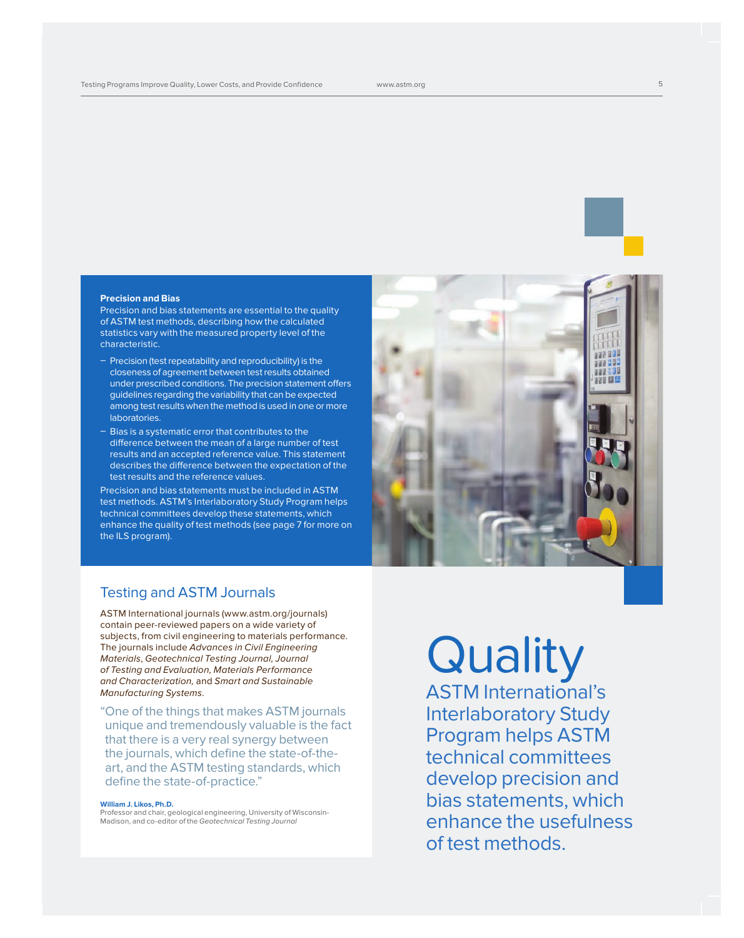#### **Precision and Bias**

Precision and bias statements are essential to the quality of ASTM test methods, describing how the calculated statistics vary with the measured property level of the characteristic.

- $-$  Precision (test repeatability and reproducibility) is the closeness of agreement between test results obtained under prescribed conditions. The precision statement offers guidelines regarding the variability that can be expected among test results when the method is used in one or more laboratories.
- $-$  Bias is a systematic error that contributes to the difference between the mean of a large number of test results and an accepted reference value. This statement describes the difference between the expectation of the test results and the reference values.

Precision and bias statements must be included in ASTM test methods. ASTM's Interlaboratory Study Program helps technical committees develop these statements, which enhance the quality of test methods (see page 7 for more on the ILS program).



## Testing and ASTM Journals

ASTM International journals (www.astm.org/journals) contain peer-reviewed papers on a wide variety of subjects, from civil engineering to materials performance. The journals include Advances in Civil Engineering Materials, Geotechnical Testing Journal, Journal of Testing and Evaluation, Materials Performance and Characterization, and Smart and Sustainable Manufacturing Systems.

" One of the things that makes ASTM journals unique and tremendously valuable is the fact that there is a very real synergy between the journals, which define the state-of-theart, and the ASTM testing standards, which define the state-of-practice."

#### **William J. Likos, Ph.D.**

Professor and chair, geological engineering, University of Wisconsin-Madison, and co-editor of the Geotechnical Testing Journal

# **Quality**

ASTM International's Interlaboratory Study Program helps ASTM technical committees develop precision and bias statements, which enhance the usefulness of test methods.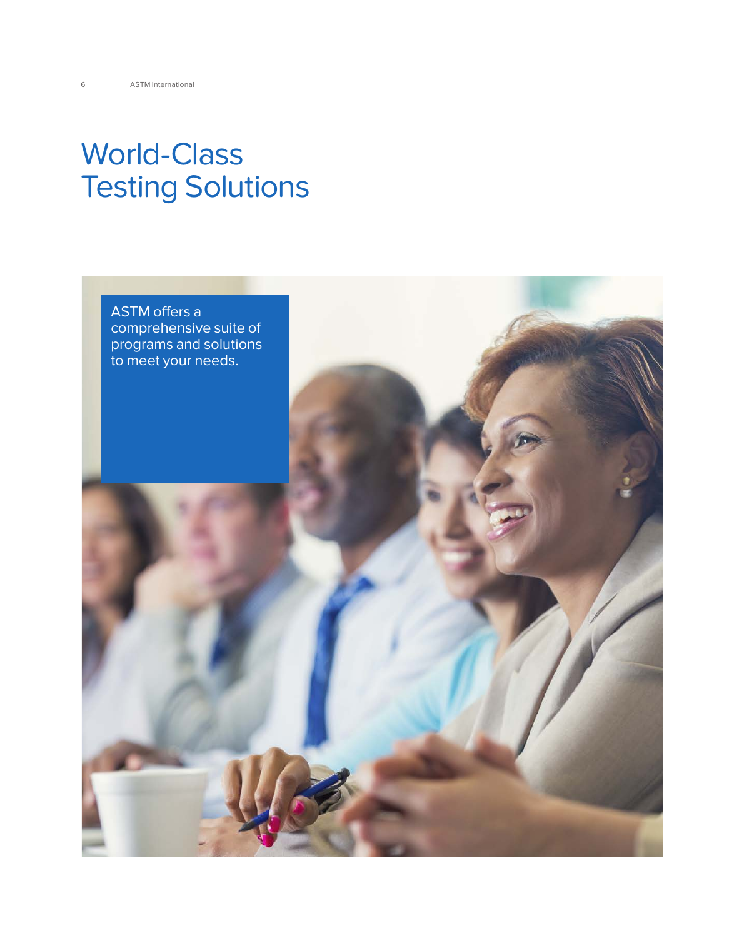# World-Class Testing Solutions

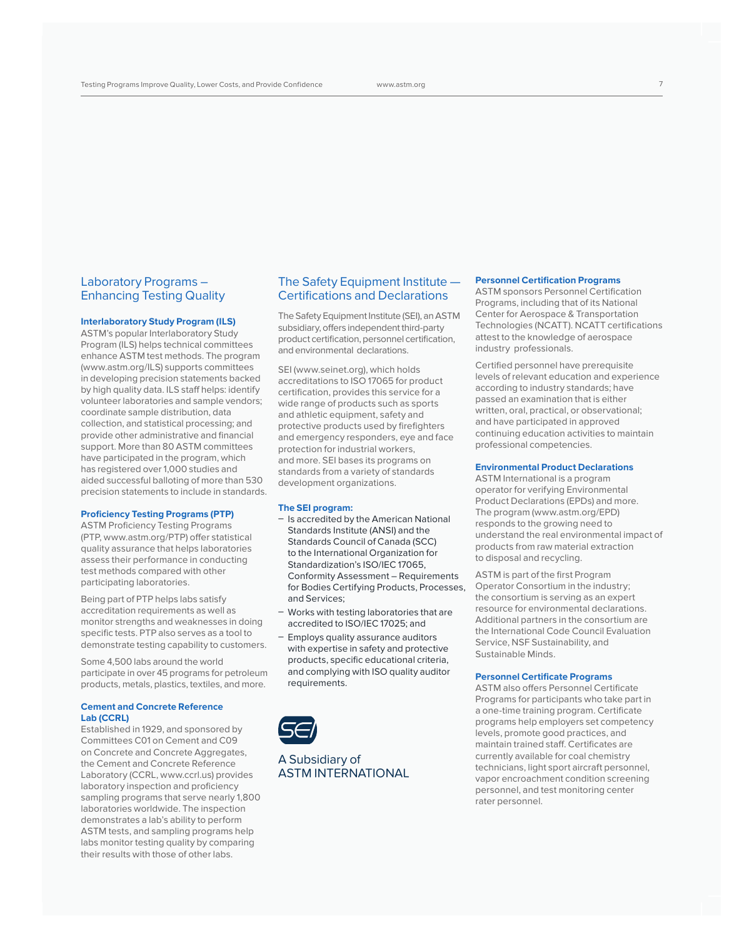### Laboratory Programs – Enhancing Testing Quality

#### **Interlaboratory Study Program (ILS)**

ASTM's popular Interlaboratory Study Program (ILS) helps technical committees enhance ASTM test methods. The program (www.astm.org/ILS) supports committees in developing precision statements backed by high quality data. ILS staff helps: identify volunteer laboratories and sample vendors; coordinate sample distribution, data collection, and statistical processing; and provide other administrative and financial support. More than 80 ASTM committees have participated in the program, which has registered over 1,000 studies and aided successful balloting of more than 530 precision statements to include in standards.

#### **Proficiency Testing Programs (PTP)**

ASTM Proficiency Testing Programs (PTP, www.astm.org/PTP) offer statistical quality assurance that helps laboratories assess their performance in conducting test methods compared with other participating laboratories.

Being part of PTP helps labs satisfy accreditation requirements as well as monitor strengths and weaknesses in doing specific tests. PTP also serves as a tool to demonstrate testing capability to customers.

Some 4,500 labs around the world participate in over 45 programs for petroleum products, metals, plastics, textiles, and more.

#### **Cement and Concrete Reference Lab (CCRL)**

Established in 1929, and sponsored by Committees C01 on Cement and C09 on Concrete and Concrete Aggregates, the Cement and Concrete Reference Laboratory (CCRL, www.ccrl.us) provides laboratory inspection and proficiency sampling programs that serve nearly 1,800 laboratories worldwide. The inspection demonstrates a lab's ability to perform ASTM tests, and sampling programs help labs monitor testing quality by comparing their results with those of other labs.

### The Safety Equipment Institute — Certifications and Declarations

The Safety Equipment Institute (SEI), an ASTM subsidiary, offers independent third-party product certification, personnel certification, and environmental declarations.

SEI (www.seinet.org), which holds accreditations to ISO 17065 for product certification, provides this service for a wide range of products such as sports and athletic equipment, safety and protective products used by firefighters and emergency responders, eye and face protection for industrial workers, and more. SEI bases its programs on standards from a variety of standards development organizations.

#### **The SEI program:**

- $-$  Is accredited by the American National Standards Institute (ANSI) and the Standards Council of Canada (SCC) to the International Organization for Standardization's ISO/IEC 17065, Conformity Assessment – Requirements for Bodies Certifying Products, Processes, and Services;
- Works with testing laboratories that are accredited to ISO/IEC 17025; and
- Employs quality assurance auditors with expertise in safety and protective products, specific educational criteria, and complying with ISO quality auditor requirements.



A Subsidiary of ASTM INTERNATIONAL

#### **Personnel Certification Programs**

ASTM sponsors Personnel Certification Programs, including that of its National Center for Aerospace & Transportation Technologies (NCATT). NCATT certifications attest to the knowledge of aerospace industry professionals.

Certified personnel have prerequisite levels of relevant education and experience according to industry standards; have passed an examination that is either written, oral, practical, or observational; and have participated in approved continuing education activities to maintain professional competencies.

#### **Environmental Product Declarations**

ASTM International is a program operator for verifying Environmental Product Declarations (EPDs) and more. The program (www.astm.org/EPD) responds to the growing need to understand the real environmental impact of products from raw material extraction to disposal and recycling.

ASTM is part of the first Program Operator Consortium in the industry; the consortium is serving as an expert resource for environmental declarations. Additional partners in the consortium are the International Code Council Evaluation Service, NSF Sustainability, and Sustainable Minds.

#### **Personnel Certificate Programs**

ASTM also offers Personnel Certificate Programs for participants who take part in a one-time training program. Certificate programs help employers set competency levels, promote good practices, and maintain trained staff. Certificates are currently available for coal chemistry technicians, light sport aircraft personnel, vapor encroachment condition screening personnel, and test monitoring center rater personnel.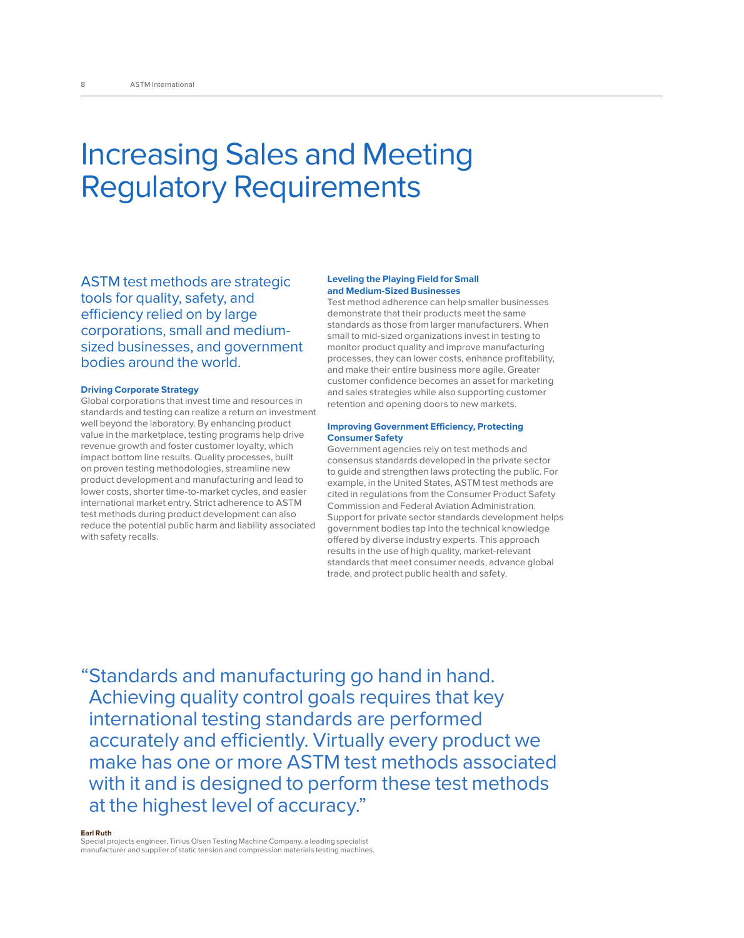# Increasing Sales and Meeting Regulatory Requirements

ASTM test methods are strategic tools for quality, safety, and efficiency relied on by large corporations, small and mediumsized businesses, and government bodies around the world.

#### **Driving Corporate Strategy**

Global corporations that invest time and resources in standards and testing can realize a return on investment well beyond the laboratory. By enhancing product value in the marketplace, testing programs help drive revenue growth and foster customer loyalty, which impact bottom line results. Quality processes, built on proven testing methodologies, streamline new product development and manufacturing and lead to lower costs, shorter time-to-market cycles, and easier international market entry. Strict adherence to ASTM test methods during product development can also reduce the potential public harm and liability associated with safety recalls.

#### **Leveling the Playing Field for Small and Medium-Sized Businesses**

Test method adherence can help smaller businesses demonstrate that their products meet the same standards as those from larger manufacturers. When small to mid-sized organizations invest in testing to monitor product quality and improve manufacturing processes, they can lower costs, enhance profitability, and make their entire business more agile. Greater customer confidence becomes an asset for marketing and sales strategies while also supporting customer retention and opening doors to new markets.

#### **Improving Government Efficiency, Protecting Consumer Safety**

Government agencies rely on test methods and consensus standards developed in the private sector to guide and strengthen laws protecting the public. For example, in the United States, ASTM test methods are cited in regulations from the Consumer Product Safety Commission and Federal Aviation Administration. Support for private sector standards development helps government bodies tap into the technical knowledge offered by diverse industry experts. This approach results in the use of high quality, market-relevant standards that meet consumer needs, advance global trade, and protect public health and safety.

" Standards and manufacturing go hand in hand. Achieving quality control goals requires that key international testing standards are performed accurately and efficiently. Virtually every product we make has one or more ASTM test methods associated with it and is designed to perform these test methods at the highest level of accuracy."

#### **Earl Ruth**

Special projects engineer, Tinius Olsen Testing Machine Company, a leading specialist manufacturer and supplier of static tension and compression materials testing machines.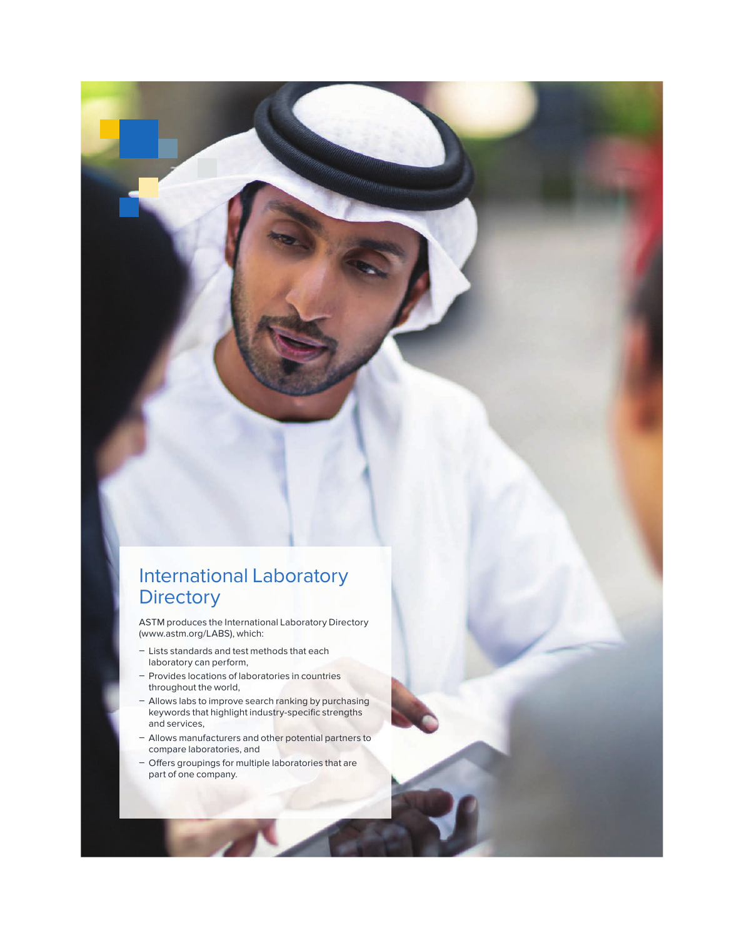# International Laboratory **Directory**

ASTM produces the International Laboratory Directory (www.astm.org/LABS), which:

- Lists standards and test methods that each laboratory can perform,
- Provides locations of laboratories in countries throughout the world,
- Allows labs to improve search ranking by purchasing keywords that highlight industry-specific strengths and services,
- Allows manufacturers and other potential partners to compare laboratories, and
- Offers groupings for multiple laboratories that are part of one company.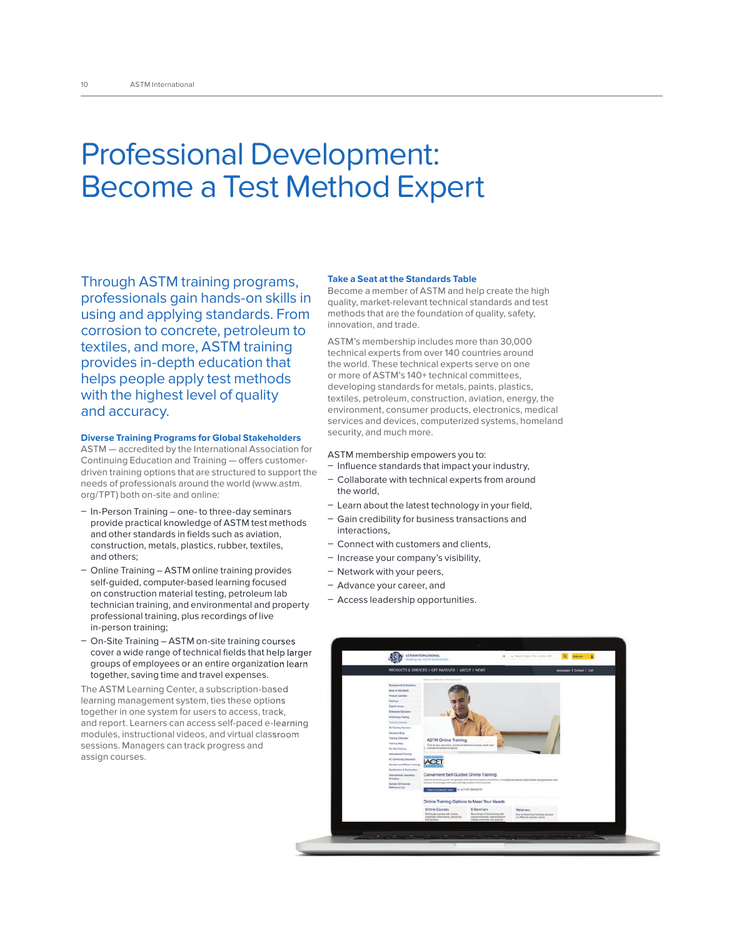# Professional Development: Become a Test Method Expert

Through ASTM training programs, professionals gain hands-on skills in using and applying standards. From corrosion to concrete, petroleum to textiles, and more, ASTM training provides in-depth education that helps people apply test methods with the highest level of quality and accuracy.

#### **Diverse Training Programs for Global Stakeholders**

ASTM — accredited by the International Association for Continuing Education and Training — offers customerdriven training options that are structured to support the needs of professionals around the world (www.astm. org/TPT) both on-site and online:

- $-$  In-Person Training one-to three-day seminars provide practical knowledge of ASTM test methods and other standards in fields such as aviation, construction, metals, plastics, rubber, textiles, and others;
- Online Training ASTM online training provides self-guided, computer-based learning focused on construction material testing, petroleum lab technician training, and environmental and property professional training, plus recordings of live in-person training;
- On-Site Training ASTM on-site training courses cover a wide range of technical fields that help larger groups of employees or an entire organization learn together, saving time and travel expenses.

The ASTM Learning Center, a subscription-based learning management system, ties these options together in one system for users to access, track, and report. Learners can access self-paced e-learning modules, instructional videos, and virtual classroom sessions. Managers can track progress and assign courses.

#### **Take a Seat at the Standards Table**

Become a member of ASTM and help create the high quality, market-relevant technical standards and test methods that are the foundation of quality, safety, innovation, and trade.

ASTM's membership includes more than 30,000 technical experts from over 140 countries around the world. These technical experts serve on one or more of ASTM's 140+ technical committees, developing standards for metals, paints, plastics, textiles, petroleum, construction, aviation, energy, the environment, consumer products, electronics, medical services and devices, computerized systems, homeland security, and much more.

#### ASTM membership empowers you to:

- Influence standards that impact your industry,
- Collaborate with technical experts from around the world,
- Learn about the latest technology in your field,
- Gain credibility for business transactions and interactions,
- Connect with customers and clients,
- Increase your company's visibility,
- Network with your peers,
- Advance your career, and
- Access leadership opportunities.

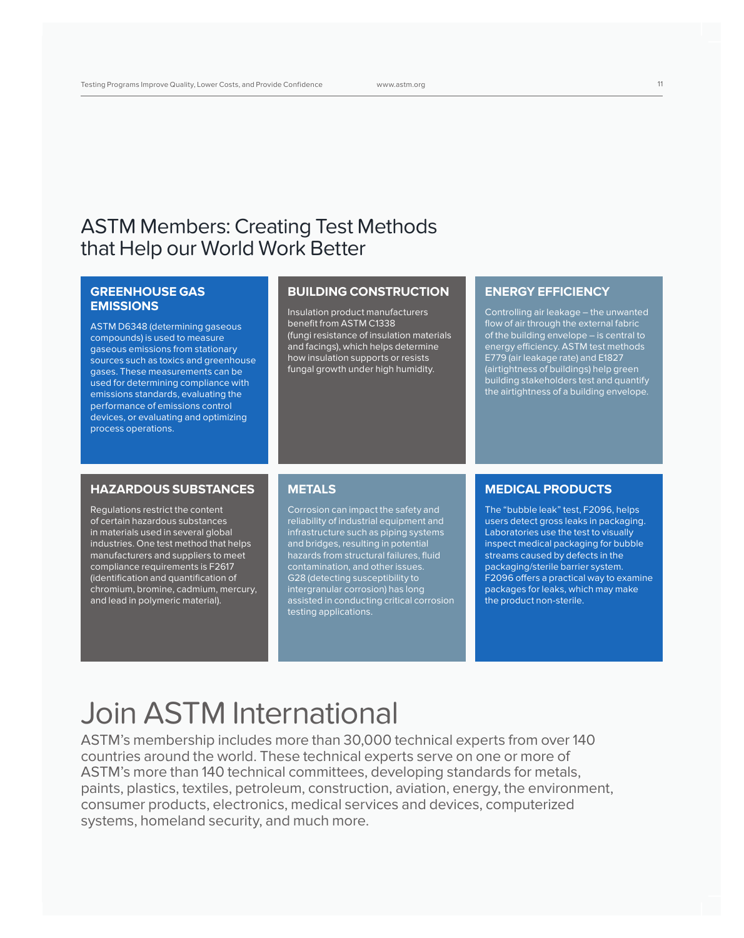# ASTM Members: Creating Test Methods that Help our World Work Better

## **GREENHOUSE GAS EMISSIONS**

ASTM D6348 (determining gaseous compounds) is used to measure gaseous emissions from stationary sources such as toxics and greenhouse gases. These measurements can be used for determining compliance with emissions standards, evaluating the performance of emissions control devices, or evaluating and optimizing process operations.

### **BUILDING CONSTRUCTION**

Insulation product manufacturers benefit from ASTM C1338 (fungi resistance of insulation materials and facings), which helps determine how insulation supports or resists fungal growth under high humidity.

### **ENERGY EFFICIENCY**

Controlling air leakage – the unwanted flow of air through the external fabric of the building envelope – is central to energy efficiency. ASTM test methods E779 (air leakage rate) and E1827 (airtightness of buildings) help green building stakeholders test and quantify the airtightness of a building envelope.

### **HAZARDOUS SUBSTANCES**

Regulations restrict the content of certain hazardous substances in materials used in several global industries. One test method that helps manufacturers and suppliers to meet compliance requirements is F2617 (identification and quantification of chromium, bromine, cadmium, mercury, and lead in polymeric material).

### **METALS**

Corrosion can impact the safety and reliability of industrial equipment and infrastructure such as piping systems and bridges, resulting in potential hazards from structural failures, fluid contamination, and other issues. G28 (detecting susceptibility to intergranular corrosion) has long assisted in conducting critical corrosion testing applications.

### **MEDICAL PRODUCTS**

The "bubble leak" test, F2096, helps users detect gross leaks in packaging. Laboratories use the test to visually inspect medical packaging for bubble streams caused by defects in the packaging/sterile barrier system. F2096 offers a practical way to examine packages for leaks, which may make the product non-sterile.

# Join ASTM International

ASTM's membership includes more than 30,000 technical experts from over 140 countries around the world. These technical experts serve on one or more of ASTM's more than 140 technical committees, developing standards for metals, paints, plastics, textiles, petroleum, construction, aviation, energy, the environment, consumer products, electronics, medical services and devices, computerized systems, homeland security, and much more.